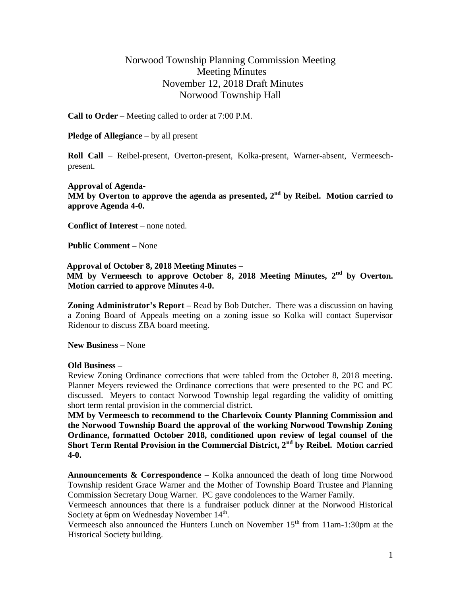## Norwood Township Planning Commission Meeting Meeting Minutes November 12, 2018 Draft Minutes Norwood Township Hall

**Call to Order** – Meeting called to order at 7:00 P.M.

**Pledge of Allegiance** – by all present

**Roll Call** – Reibel-present, Overton-present, Kolka-present, Warner-absent, Vermeeschpresent.

**Approval of Agenda-MM** by Overton to approve the agenda as presented, 2<sup>nd</sup> by Reibel. Motion carried to **approve Agenda 4-0.**

**Conflict of Interest** – none noted.

**Public Comment –** None

 **Approval of October 8, 2018 Meeting Minutes – MM by Vermeesch to approve October 8, 2018 Meeting Minutes, 2nd by Overton. Motion carried to approve Minutes 4-0.**

**Zoning Administrator's Report –** Read by Bob Dutcher. There was a discussion on having a Zoning Board of Appeals meeting on a zoning issue so Kolka will contact Supervisor Ridenour to discuss ZBA board meeting.

**New Business –** None

## **Old Business –**

Review Zoning Ordinance corrections that were tabled from the October 8, 2018 meeting. Planner Meyers reviewed the Ordinance corrections that were presented to the PC and PC discussed. Meyers to contact Norwood Township legal regarding the validity of omitting short term rental provision in the commercial district.

**MM by Vermeesch to recommend to the Charlevoix County Planning Commission and the Norwood Township Board the approval of the working Norwood Township Zoning Ordinance, formatted October 2018, conditioned upon review of legal counsel of the Short Term Rental Provision in the Commercial District, 2nd by Reibel. Motion carried 4-0.**

**Announcements & Correspondence –** Kolka announced the death of long time Norwood Township resident Grace Warner and the Mother of Township Board Trustee and Planning Commission Secretary Doug Warner. PC gave condolences to the Warner Family.

Vermeesch announces that there is a fundraiser potluck dinner at the Norwood Historical Society at 6pm on Wednesday November  $14<sup>th</sup>$ .

Vermeesch also announced the Hunters Lunch on November 15<sup>th</sup> from 11am-1:30pm at the Historical Society building.